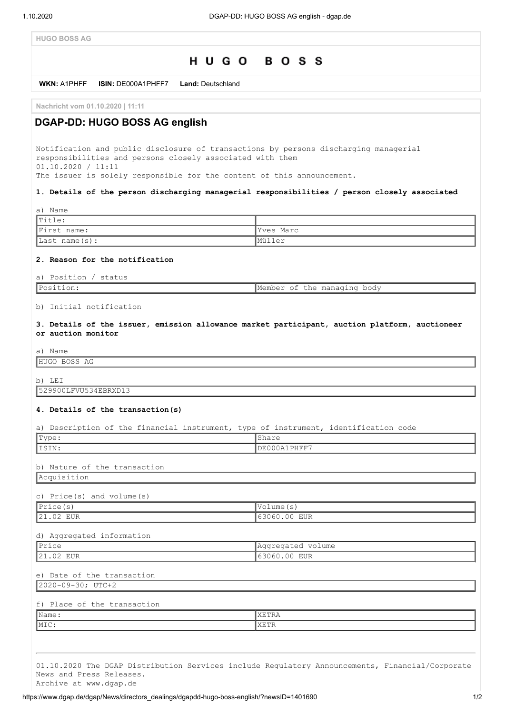**HUGO BOSS AG**



https://www.dgap.de/dgap/News/directors\_dealings/dgapdd-hugo-boss-english/?newsID=1401690 1/2

Archive at www.dgap.de